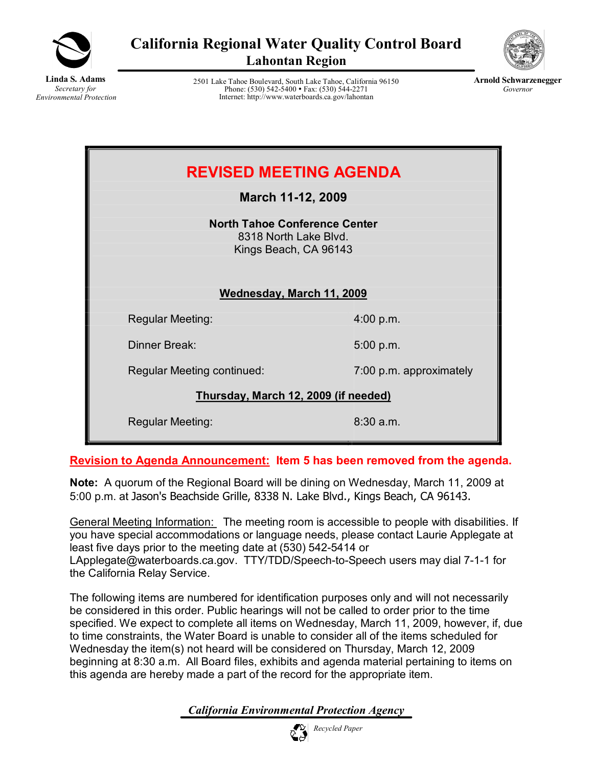

**California Regional Water Quality Control Board Lahontan Region**



**Linda S. Adams** *Secretary for Environmental Protection*

2501 Lake Tahoe Boulevard, South Lake Tahoe, California 96150 Phone: (530) 542-5400 • Fax: (530) 544-2271 Internet: http://www.waterboards.ca.gov/lahontan



| <b>REVISED MEETING AGENDA</b><br>March 11-12, 2009                                     |                         |  |  |  |
|----------------------------------------------------------------------------------------|-------------------------|--|--|--|
| <b>North Tahoe Conference Center</b><br>8318 North Lake Blvd.<br>Kings Beach, CA 96143 |                         |  |  |  |
| Wednesday, March 11, 2009                                                              |                         |  |  |  |
| <b>Regular Meeting:</b>                                                                | 4:00 p.m.               |  |  |  |
| Dinner Break:                                                                          | 5:00 p.m.               |  |  |  |
| Regular Meeting continued:                                                             | 7:00 p.m. approximately |  |  |  |
| Thursday, March 12, 2009 (if needed)                                                   |                         |  |  |  |
| <b>Regular Meeting:</b>                                                                | $8:30$ a.m.             |  |  |  |

**Revision to Agenda Announcement: Item 5 has been removed from the agenda.** 

**Note:** A quorum of the Regional Board will be dining on Wednesday, March 11, 2009 at 5:00 p.m. at Jason's Beachside Grille, 8338 N. Lake Blvd., Kings Beach, CA 96143.

General Meeting Information: The meeting room is accessible to people with disabilities. If you have special accommodations or language needs, please contact Laurie Applegate at least five days prior to the meeting date at (530) 542-5414 or LApplegate@waterboards.ca.gov. TTY/TDD/Speech-to-Speech users may dial 7-1-1 for the California Relay Service.

The following items are numbered for identification purposes only and will not necessarily be considered in this order. Public hearings will not be called to order prior to the time specified. We expect to complete all items on Wednesday, March 11, 2009, however, if, due to time constraints, the Water Board is unable to consider all of the items scheduled for Wednesday the item(s) not heard will be considered on Thursday, March 12, 2009 beginning at 8:30 a.m. All Board files, exhibits and agenda material pertaining to items on this agenda are hereby made a part of the record for the appropriate item.

*California Environmental Protection Agency*

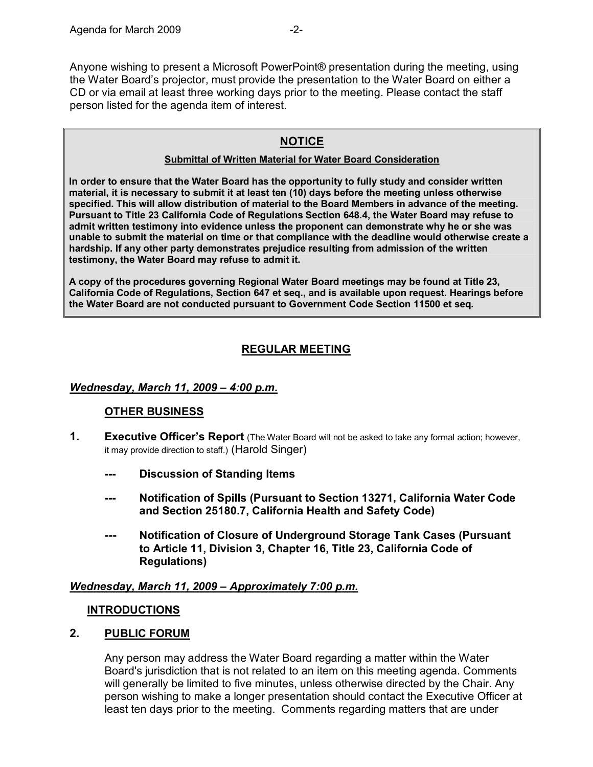Anyone wishing to present a Microsoft PowerPoint® presentation during the meeting, using the Water Board's projector, must provide the presentation to the Water Board on either a CD or via email at least three working days prior to the meeting. Please contact the staff person listed for the agenda item of interest.

# **NOTICE**

#### **Submittal of Written Material for Water Board Consideration**

**In order to ensure that the Water Board has the opportunity to fully study and consider written material, it is necessary to submit it at least ten (10) days before the meeting unless otherwise specified. This will allow distribution of material to the Board Members in advance of the meeting. Pursuant to Title 23 California Code of Regulations Section 648.4, the Water Board may refuse to admit written testimony into evidence unless the proponent can demonstrate why he or she was unable to submit the material on time or that compliance with the deadline would otherwise create a hardship. If any other party demonstrates prejudice resulting from admission of the written testimony, the Water Board may refuse to admit it.**

**A copy of the procedures governing Regional Water Board meetings may be found at Title 23, California Code of Regulations, Section 647 et seq., and is available upon request. Hearings before the Water Board are not conducted pursuant to Government Code Section 11500 et seq***.*

# **REGULAR MEETING**

### *Wednesday, March 11, 2009 – 4:00 p.m.*

### **OTHER BUSINESS**

- **1. Executive Officer's Report** (The Water Board will not be asked to take any formal action; however, it may provide direction to staff.) (Harold Singer)
	- **Discussion of Standing Items**
	- **Notification of Spills (Pursuant to Section 13271, California Water Code and Section 25180.7, California Health and Safety Code)**
	- **Notification of Closure of Underground Storage Tank Cases (Pursuant to Article 11, Division 3, Chapter 16, Title 23, California Code of Regulations)**

*Wednesday, March 11, 2009 – Approximately 7:00 p.m.*

#### **INTRODUCTIONS**

### **2. PUBLIC FORUM**

Any person may address the Water Board regarding a matter within the Water Board's jurisdiction that is not related to an item on this meeting agenda. Comments will generally be limited to five minutes, unless otherwise directed by the Chair. Any person wishing to make a longer presentation should contact the Executive Officer at least ten days prior to the meeting. Comments regarding matters that are under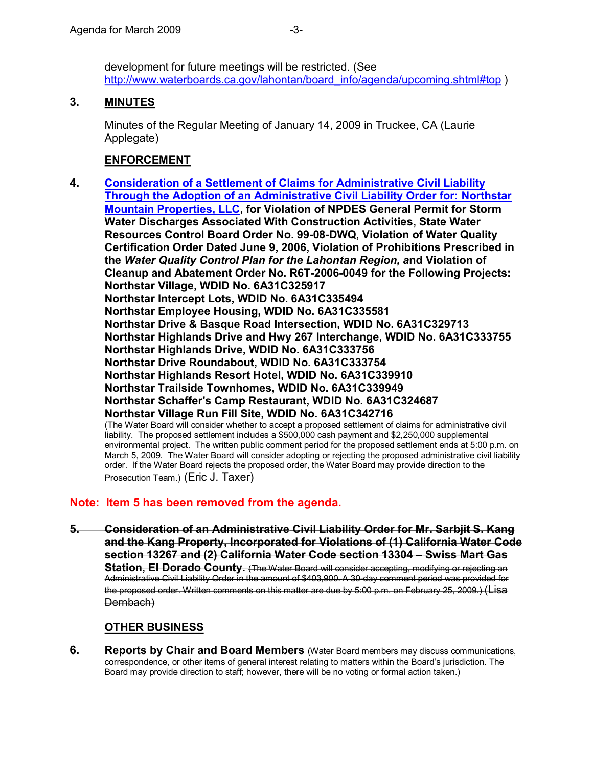development for future meetings will be restricted. (See [http://www.waterboards.ca.gov/lahontan/board\\_info/agenda/upcoming.shtml#top](http://www.waterboards.ca.gov/lahontan/board_info/agenda/upcoming.shtml) )

### **3. MINUTES**

Minutes of the Regular Meeting of January 14, 2009 in Truckee, CA (Laurie Applegate)

### **ENFORCEMENT**

**4. Consideration of a Settlement of Claims for Administrative Civil Liability [Through the Adoption of an Administrative Civil Liability Order for: Northstar](http://www.waterboards.ca.gov/lahontan/water_issues/programs/waste_discharge_requirements/northstar/index.shtml)  [Mountain Properties, LLC,](http://www.waterboards.ca.gov/lahontan/water_issues/programs/waste_discharge_requirements/northstar/index.shtml) for Violation of NPDES General Permit for Storm Water Discharges Associated With Construction Activities, State Water Resources Control Board Order No. 99-08-DWQ, Violation of Water Quality Certification Order Dated June 9, 2006, Violation of Prohibitions Prescribed in the** *Water Quality Control Plan for the Lahontan Region, a***nd Violation of Cleanup and Abatement Order No. R6T-2006-0049 for the Following Projects: Northstar Village, WDID No. 6A31C325917 Northstar Intercept Lots, WDID No. 6A31C335494 Northstar Employee Housing, WDID No. 6A31C335581 Northstar Drive & Basque Road Intersection, WDID No. 6A31C329713 Northstar Highlands Drive and Hwy 267 Interchange, WDID No. 6A31C333755 Northstar Highlands Drive, WDID No. 6A31C333756 Northstar Drive Roundabout, WDID No. 6A31C333754 Northstar Highlands Resort Hotel, WDID No. 6A31C339910 Northstar Trailside Townhomes, WDID No. 6A31C339949 Northstar Schaffer's Camp Restaurant, WDID No. 6A31C324687 Northstar Village Run Fill Site, WDID No. 6A31C342716** (The Water Board will consider whether to accept a proposed settlement of claims for administrative civil liability. The proposed settlement includes a \$500,000 cash payment and \$2,250,000 supplemental environmental project. The written public comment period for the proposed settlement ends at 5:00 p.m. on March 5, 2009. The Water Board will consider adopting or rejecting the proposed administrative civil liability order. If the Water Board rejects the proposed order, the Water Board may provide direction to the Prosecution Team.) (Eric J. Taxer)

### **Note: Item 5 has been removed from the agenda.**

**5. Consideration of an Administrative Civil Liability Order for Mr. Sarbjit S. Kang and the Kang Property, Incorporated for Violations of (1) California Water Code section 13267 and (2) California Water Code section 13304 – Swiss Mart Gas Station, El Dorado County.** (The Water Board will consider accepting, modifying or rejecting an Administrative Civil Liability Order in the amount of \$403,900. A 30day comment period was provided for the proposed order. Written comments on this matter are due by 5:00 p.m. on February 25, 2009.) (Lisa Dernbach)

## **OTHER BUSINESS**

**6. Reports by Chair and Board Members** (Water Board members may discuss communications, correspondence, or other items of general interest relating to matters within the Board's jurisdiction. The Board may provide direction to staff; however, there will be no voting or formal action taken.)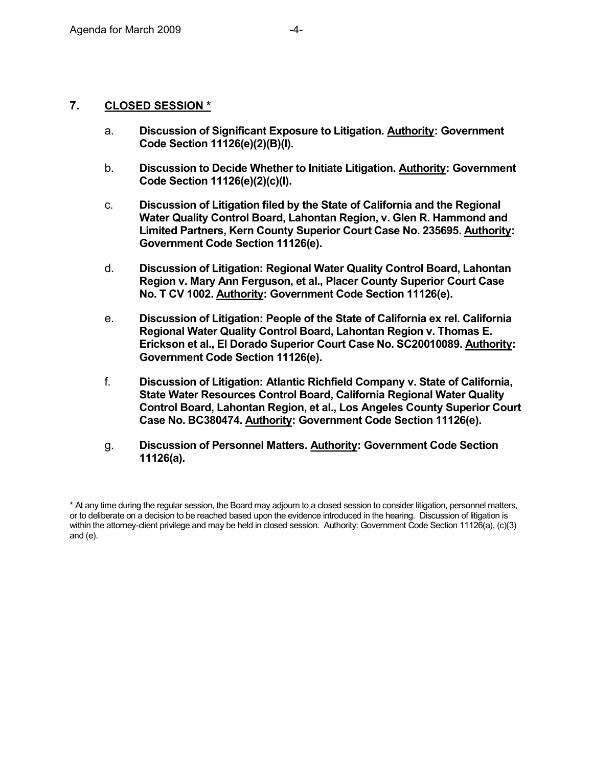### **7. CLOSED SESSION \***

- a. **Discussion of Significant Exposure to Litigation. Authority: Government Code Section 11126(e)(2)(B)(I).**
- b. **Discussion to Decide Whether to Initiate Litigation. Authority: Government Code Section 11126(e)(2)(c)(I).**
- c. **Discussion of Litigation filed by the State of California and the Regional Water Quality Control Board, Lahontan Region, v. Glen R. Hammond and Limited Partners, Kern County Superior Court Case No. 235695. Authority: Government Code Section 11126(e).**
- d. **Discussion of Litigation: Regional Water Quality Control Board, Lahontan Region v.Mary Ann Ferguson, et al., Placer County Superior Court Case No. T CV 1002. Authority: Government Code Section 11126(e).**
- e. **Discussion of Litigation: People of the State of California ex rel. California Regional Water Quality Control Board, Lahontan Region v.Thomas E. Erickson et al., El Dorado Superior Court Case No. SC20010089. Authority: Government Code Section 11126(e).**
- f. **Discussion of Litigation: Atlantic Richfield Company v. State of California, State Water Resources Control Board, California Regional Water Quality Control Board, Lahontan Region, et al., Los Angeles County Superior Court Case No. BC380474. Authority: Government Code Section 11126(e).**
- g. **Discussion of Personnel Matters. Authority: Government Code Section 11126(a).**

<sup>\*</sup> At any time during the regular session, the Board may adjourn to a closed session to consider litigation, personnel matters, or to deliberate on a decision to be reached based upon the evidence introduced in the hearing. Discussion of litigation is within the attorney-client privilege and may be held in closed session. Authority: Government Code Section 11126(a), (c)(3) and (e).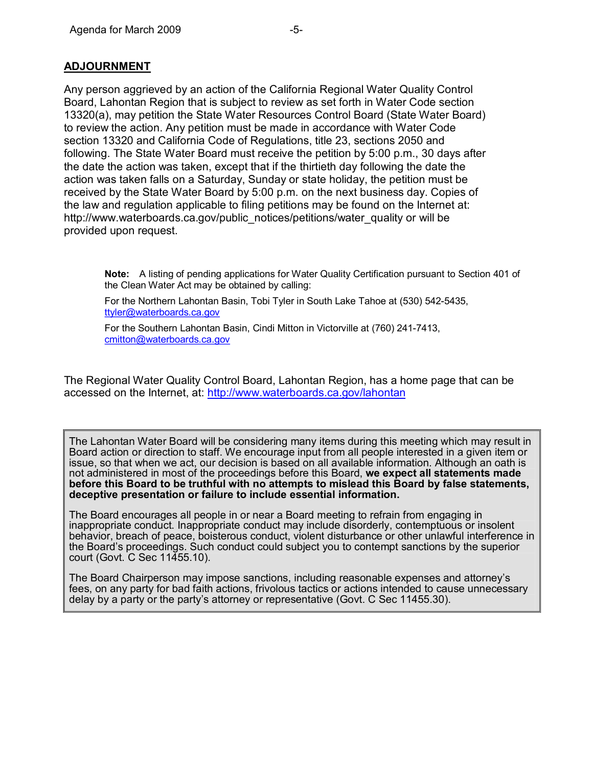Any person aggrieved by an action of the California Regional Water Quality Control Board, Lahontan Region that is subject to review as set forth in Water Code section 13320(a), may petition the State Water Resources Control Board (State Water Board) to review the action. Any petition must be made in accordance with Water Code section 13320 and California Code of Regulations, title 23, sections 2050 and following. The State Water Board must receive the petition by 5:00 p.m., 30 days after the date the action was taken, except that if the thirtieth day following the date the action was taken falls on a Saturday, Sunday or state holiday, the petition must be received by the State Water Board by 5:00 p.m. on the next business day. Copies of the law and regulation applicable to filing petitions may be found on the Internet at: [http://www.waterboards.ca.gov/public\\_notices/petitions/water\\_quality](http://www.waterboards.ca.gov/public_notices/petitions/water_quality) or will be provided upon request.

**Note:** A listing of pending applications for Water Quality Certification pursuant to Section 401 of the Clean Water Act may be obtained by calling:

For the Northern Lahontan Basin, Tobi Tyler in South Lake Tahoe at (530) 542-5435, [ttyler@waterboards.ca.gov](mailto:ttyler@waterboards.ca.gov) 

For the Southern Lahontan Basin, Cindi Mitton in Victorville at (760) 241-7413, [cmitton@waterboards.ca.gov](mailto:cmitton@waterboards.ca.gov) 

The Regional Water Quality Control Board, Lahontan Region, has a home page that can be accessed on the Internet, at: <http://www.waterboards.ca.gov/lahontan>

The Lahontan Water Board will be considering many items during this meeting which may result in Board action or direction to staff. We encourage input from all people interested in a given item or issue, so that when we act, our decision is based on all available information. Although an oath is not administered in most of the proceedings before this Board, **we expect all statements made before this Board to be truthful with no attempts to mislead this Board by false statements, deceptive presentation or failure to include essential information.**

The Board encourages all people in or near a Board meeting to refrain from engaging in inappropriate conduct. Inappropriate conduct may include disorderly, contemptuous or insolent behavior, breach of peace, boisterous conduct, violent disturbance or other unlawful interference in the Board's proceedings. Such conduct could subject you to contempt sanctions by the superior court (Govt. C Sec 11455.10).

The Board Chairperson may impose sanctions, including reasonable expenses and attorney's fees, on any party for bad faith actions, frivolous tactics or actions intended to cause unnecessary delay by a party or the party's attorney or representative (Govt. C Sec 11455.30).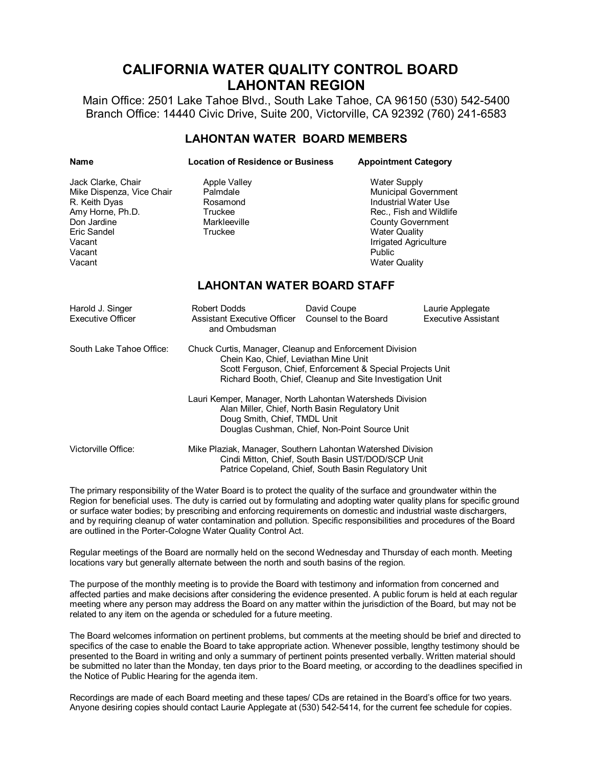# **CALIFORNIA WATER QUALITY CONTROL BOARD LAHONTAN REGION**

Main Office: 2501 Lake Tahoe Blvd., South Lake Tahoe, CA 96150 (530) 542-5400 Branch Office: 14440 Civic Drive, Suite 200, Victorville, CA 92392 (760) 2416583

#### **LAHONTAN WATER BOARD MEMBERS**

| <b>Name</b>                                                                                                                                      | <b>Location of Residence or Business</b>                                                                                                                                                                                    |                                     | <b>Appointment Category</b>                                                                                                                                                                                                 |                                         |  |
|--------------------------------------------------------------------------------------------------------------------------------------------------|-----------------------------------------------------------------------------------------------------------------------------------------------------------------------------------------------------------------------------|-------------------------------------|-----------------------------------------------------------------------------------------------------------------------------------------------------------------------------------------------------------------------------|-----------------------------------------|--|
| Jack Clarke, Chair<br>Mike Dispenza, Vice Chair<br>R. Keith Dyas<br>Amy Horne, Ph.D.<br>Don Jardine<br>Eric Sandel<br>Vacant<br>Vacant<br>Vacant | <b>Apple Valley</b><br>Palmdale<br>Rosamond<br>Truckee<br>Markleeville<br>Truckee                                                                                                                                           |                                     | <b>Water Supply</b><br><b>Municipal Government</b><br><b>Industrial Water Use</b><br>Rec., Fish and Wildlife<br><b>County Government</b><br><b>Water Quality</b><br>Irrigated Agriculture<br>Public<br><b>Water Quality</b> |                                         |  |
| <b>LAHONTAN WATER BOARD STAFF</b>                                                                                                                |                                                                                                                                                                                                                             |                                     |                                                                                                                                                                                                                             |                                         |  |
| Harold J. Singer<br>Executive Officer                                                                                                            | Robert Dodds<br><b>Assistant Executive Officer</b><br>and Ombudsman                                                                                                                                                         | David Coupe<br>Counsel to the Board |                                                                                                                                                                                                                             | Laurie Applegate<br>Executive Assistant |  |
| South Lake Tahoe Office:                                                                                                                         | Chuck Curtis, Manager, Cleanup and Enforcement Division<br>Chein Kao, Chief, Leviathan Mine Unit<br>Scott Ferguson, Chief, Enforcement & Special Projects Unit<br>Richard Booth, Chief, Cleanup and Site Investigation Unit |                                     |                                                                                                                                                                                                                             |                                         |  |
|                                                                                                                                                  | Lauri Kemper, Manager, North Lahontan Watersheds Division<br>Alan Miller, Chief, North Basin Regulatory Unit<br>Doug Smith, Chief, TMDL Unit<br>Douglas Cushman, Chief, Non-Point Source Unit                               |                                     |                                                                                                                                                                                                                             |                                         |  |
| Victorville Office:                                                                                                                              | Mike Plaziak, Manager, Southern Lahontan Watershed Division<br>Cindi Mitton, Chief, South Basin UST/DOD/SCP Unit<br>Patrice Copeland, Chief, South Basin Regulatory Unit                                                    |                                     |                                                                                                                                                                                                                             |                                         |  |

The primary responsibility of the Water Board is to protect the quality of the surface and groundwater within the Region for beneficial uses. The duty is carried out by formulating and adopting water quality plans for specific ground or surface water bodies; by prescribing and enforcing requirements on domestic and industrial waste dischargers, and by requiring cleanup of water contamination and pollution. Specific responsibilities and procedures of the Board are outlined in the Porter-Cologne Water Quality Control Act.

Regular meetings of the Board are normally held on the second Wednesday and Thursday of each month. Meeting locations vary but generally alternate between the north and south basins of the region.

The purpose of the monthly meeting is to provide the Board with testimony and information from concerned and affected parties and make decisions after considering the evidence presented. A public forum is held at each regular meeting where any person may address the Board on any matter within the jurisdiction of the Board, but may not be related to any item on the agenda or scheduled for a future meeting.

The Board welcomes information on pertinent problems, but comments at the meeting should be brief and directed to specifics of the case to enable the Board to take appropriate action. Whenever possible, lengthy testimony should be presented to the Board in writing and only a summary of pertinent points presented verbally. Written material should be submitted no later than the Monday, ten days prior to the Board meeting, or according to the deadlines specified in the Notice of Public Hearing for the agenda item.

Recordings are made of each Board meeting and these tapes/ CDs are retained in the Board's office for two years. Anyone desiring copies should contact Laurie Applegate at (530) 542-5414, for the current fee schedule for copies.